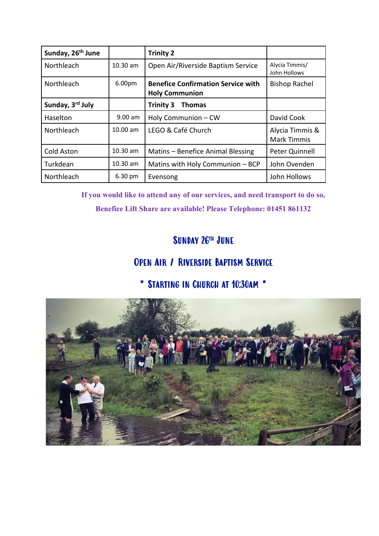| Sunday, 26 <sup>th</sup> June |            | <b>Trinity 2</b>                                                   |                                       |
|-------------------------------|------------|--------------------------------------------------------------------|---------------------------------------|
| Northleach                    | $10.30$ am | Open Air/Riverside Baptism Service                                 | Alycia Timmis/<br>John Hollows        |
| Northleach                    | 6.00pm     | <b>Benefice Confirmation Service with</b><br><b>Holy Communion</b> | <b>Bishop Rachel</b>                  |
| Sunday, 3rd July              |            | <b>Trinity 3</b><br><b>Thomas</b>                                  |                                       |
| Haselton                      | $9.00$ am  | Holy Communion - CW                                                | David Cook                            |
| Northleach                    | $10.00$ am | LEGO & Café Church                                                 | Alycia Timmis &<br><b>Mark Timmis</b> |
| Cold Aston                    | $10.30$ am | Matins - Benefice Animal Blessing                                  | Peter Quinnell                        |
| Turkdean                      | $10.30$ am | Matins with Holy Communion - BCP                                   | John Ovenden                          |
| Northleach                    | 6.30 pm    | Evensong                                                           | John Hollows                          |

**If you would like to attend any of our services, and need transport to do so, Benefice Lift Share are available! Please Telephone: 01451 861132**

#### SUNDAY 26<sup>th</sup> JUNE

#### Open Air / Riverside Baptism Service

#### \* Starting in Church at 10:30am \*

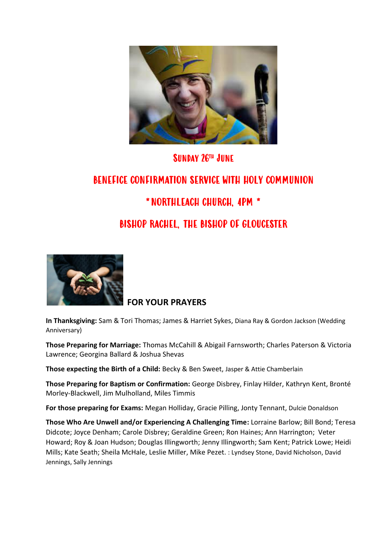

#### SUNDAY 26<sup>th</sup> JUNE

## BENEFICE CONFIRMATION SERVICE WITH HOLY COMMUNION \*NORTHLEACH CHURCH, 4PM \* BISHOP RACHEL, THE BISHOP OF GLOUCESTER



#### **FOR YOUR PRAYERS**

**In Thanksgiving:** Sam & Tori Thomas; James & Harriet Sykes, Diana Ray & Gordon Jackson (Wedding Anniversary)

**Those Preparing for Marriage:** Thomas McCahill & Abigail Farnsworth; Charles Paterson & Victoria Lawrence; Georgina Ballard & Joshua Shevas

**Those expecting the Birth of a Child:** Becky & Ben Sweet, Jasper & Attie Chamberlain

**Those Preparing for Baptism or Confirmation:** George Disbrey, Finlay Hilder, Kathryn Kent, Bronté Morley-Blackwell, Jim Mulholland, Miles Timmis

**For those preparing for Exams:** Megan Holliday, Gracie Pilling, Jonty Tennant, Dulcie Donaldson

**Those Who Are Unwell and/or Experiencing A Challenging Time:** Lorraine Barlow; Bill Bond; Teresa Didcote; Joyce Denham; Carole Disbrey; Geraldine Green; Ron Haines; Ann Harrington; Veter Howard; Roy & Joan Hudson; Douglas Illingworth; Jenny Illingworth; Sam Kent; Patrick Lowe; Heidi Mills; Kate Seath; Sheila McHale, Leslie Miller, Mike Pezet. : Lyndsey Stone, David Nicholson, David Jennings, Sally Jennings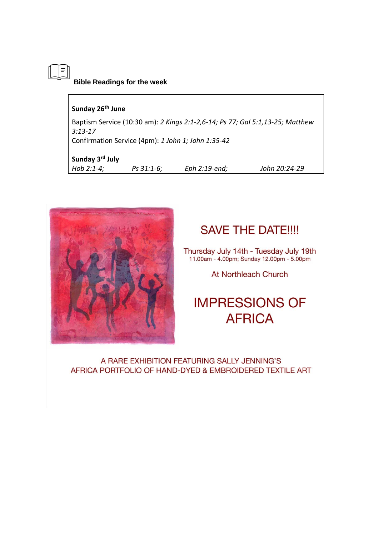**Bible Readings for the week**

#### **Sunday 26th June**

 $\vert \bar{=} \vert$ 

Baptism Service (10:30 am): *2 Kings 2:1-2,6-14; Ps 77; Gal 5:1,13-25; Matthew 3:13-17* Confirmation Service (4pm): *1 John 1; John 1:35-42* 

#### **Sunday 3rd July**

*Hob 2:1-4; Ps 31:1-6; Eph 2:19-end; John 20:24-29*



### **SAVE THE DATE!!!!**

Thursday July 14th - Tuesday July 19th<br>11.00am - 4.00pm; Sunday 12.00pm - 5.00pm

At Northleach Church

## **IMPRESSIONS OF AFRICA**

A RARE EXHIBITION FEATURING SALLY JENNING'S AFRICA PORTFOLIO OF HAND-DYED & EMBROIDERED TEXTILE ART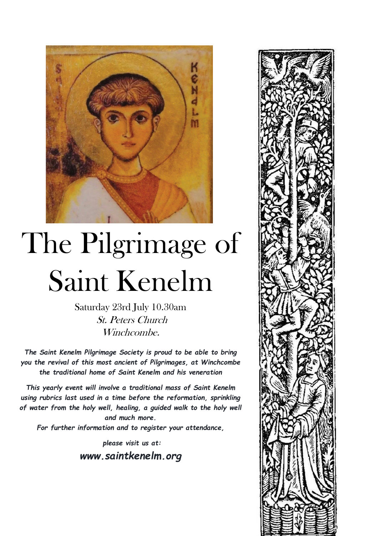

# The Pilgrimage of Saint Kenelm

Saturday 23rd July 10.30am St. Peters Church Winchcombe.

*The Saint Kenelm Pilgrimage Society is proud to be able to bring you the revival of this most ancient of Pilgrimages, at Winchcombe the traditional home of Saint Kenelm and his veneration*

*This yearly event will involve a traditional mass of Saint Kenelm using rubrics last used in a time before the reformation, sprinkling of water from the holy well, healing, a guided walk to the holy well and much more.*

*For further information and to register your attendance,*

*please visit us at: www.saintkenelm.org*